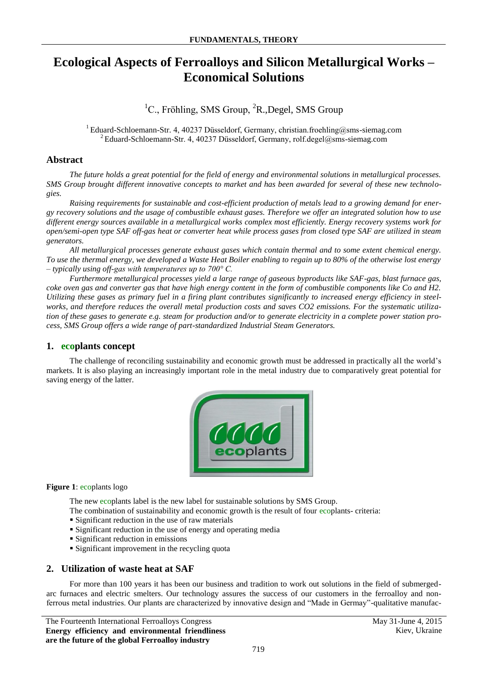# **Ecological Aspects of Ferroalloys and Silicon Metallurgical Works – Economical Solutions**

 ${}^{1}C$ ., Fröhling, SMS Group,  ${}^{2}R$ ., Degel, SMS Group

<sup>1</sup> Eduard-Schloemann-Str. 4, 40237 Düsseldorf, Germany, christian.froehling@sms-siemag.com <sup>2</sup>Eduard-Schloemann-Str. 4, 40237 Düsseldorf, Germany, rolf.degel@sms-siemag.com

### **Abstract**

*The future holds a great potential for the field of energy and environmental solutions in metallurgical processes. SMS Group brought different innovative concepts to market and has been awarded for several of these new technologies.*

*Raising requirements for sustainable and cost-efficient production of metals lead to a growing demand for energy recovery solutions and the usage of combustible exhaust gases. Therefore we offer an integrated solution how to use different energy sources available in a metallurgical works complex most efficiently. Energy recovery systems work for open/semi-open type SAF off-gas heat or converter heat while process gases from closed type SAF are utilized in steam generators.* 

*All metallurgical processes generate exhaust gases which contain thermal and to some extent chemical energy. To use the thermal energy, we developed a Waste Heat Boiler enabling to regain up to 80% of the otherwise lost energy – typically using off-gas with temperatures up to 700° C.* 

*Furthermore metallurgical processes yield a large range of gaseous byproducts like SAF-gas, blast furnace gas, coke oven gas and converter gas that have high energy content in the form of combustible components like Co and H2. Utilizing these gases as primary fuel in a firing plant contributes significantly to increased energy efficiency in steelworks, and therefore reduces the overall metal production costs and saves CO2 emissions. For the systematic utilization of these gases to generate e.g. steam for production and/or to generate electricity in a complete power station process, SMS Group offers a wide range of part-standardized Industrial Steam Generators.*

### **1. ecoplants concept**

The challenge of reconciling sustainability and economic growth must be addressed in practically all the world's markets. It is also playing an increasingly important role in the metal industry due to comparatively great potential for saving energy of the latter.



#### **Figure 1**: ecoplants logo

The new ecoplants label is the new label for sustainable solutions by SMS Group.

The combination of sustainability and economic growth is the result of four ecoplants- criteria:

- **Significant reduction in the use of raw materials**
- Significant reduction in the use of energy and operating media
- **Significant reduction in emissions**
- **Significant improvement in the recycling quota**

### **2. Utilization of waste heat at SAF**

For more than 100 years it has been our business and tradition to work out solutions in the field of submergedarc furnaces and electric smelters. Our technology assures the success of our customers in the ferroalloy and nonferrous metal industries. Our plants are characterized by innovative design and "Made in Germay"-qualitative manufac-

The Fourteenth International Ferroalloys Congress May 31-June 4, 2015 **Energy efficiency and environmental friendliness are the future of the global Ferroalloy industry**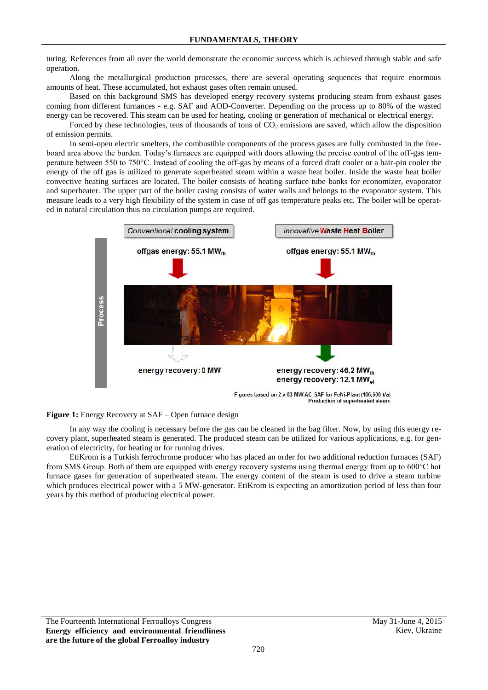turing. References from all over the world demonstrate the economic success which is achieved through stable and safe operation.

Along the metallurgical production processes, there are several operating sequences that require enormous amounts of heat. These accumulated, hot exhaust gases often remain unused.

Based on this background SMS has developed energy recovery systems producing steam from exhaust gases coming from different furnances - e.g. SAF and AOD-Converter. Depending on the process up to 80% of the wasted energy can be recovered. This steam can be used for heating, cooling or generation of mechanical or electrical energy.

Forced by these technologies, tens of thousands of tons of  $CO<sub>2</sub>$  emissions are saved, which allow the disposition of emission permits.

In semi-open electric smelters, the combustible components of the process gases are fully combusted in the freeboard area above the burden. Today's furnaces are equipped with doors allowing the precise control of the off-gas temperature between 550 to 750°C. Instead of cooling the off-gas by means of a forced draft cooler or a hair-pin cooler the energy of the off gas is utilized to generate superheated steam within a waste heat boiler. Inside the waste heat boiler convective heating surfaces are located. The boiler consists of heating surface tube banks for economizer, evaporator and superheater. The upper part of the boiler casing consists of water walls and belongs to the evaporator system. This measure leads to a very high flexibility of the system in case of off gas temperature peaks etc. The boiler will be operated in natural circulation thus no circulation pumps are required.





In any way the cooling is necessary before the gas can be cleaned in the bag filter. Now, by using this energy recovery plant, superheated steam is generated. The produced steam can be utilized for various applications, e.g. for generation of electricity, for heating or for running drives.

EtiKrom is a Turkish ferrochrome producer who has placed an order for two additional reduction furnaces (SAF) from SMS Group. Both of them are equipped with energy recovery systems using thermal energy from up to 600°C hot furnace gases for generation of superheated steam. The energy content of the steam is used to drive a steam turbine which produces electrical power with a 5 MW-generator. EtiKrom is expecting an amortization period of less than four years by this method of producing electrical power.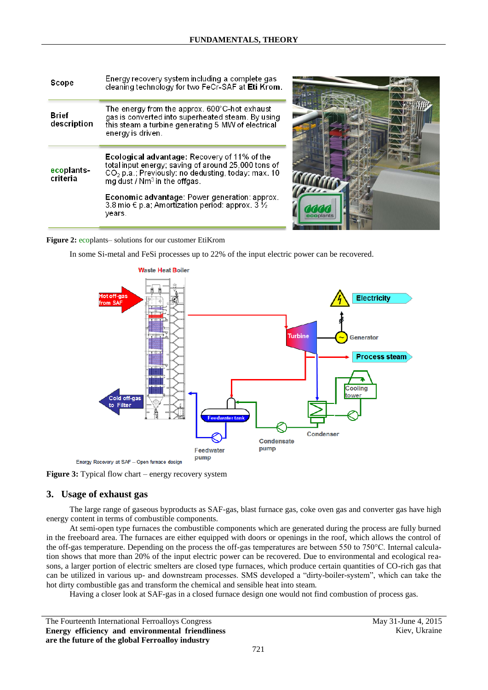| Scope                  | Energy recovery system including a complete gas<br>cleaning technology for two FeCr-SAF at Eti Krom.                                                                                                    |
|------------------------|---------------------------------------------------------------------------------------------------------------------------------------------------------------------------------------------------------|
| Brief<br>description   | The energy from the approx. $600^{\circ}$ C-hot exhaust<br>gas is converted into superheated steam. By using<br>this steam a turbine generating 5 MW of electrical<br>energy is driven.                 |
| ecoplants-<br>criteria | Ecological advantage: Recovery of 11% of the<br>total input energy; saving of around 25,000 tons of<br>CO <sub>2</sub> p.a.; Previously: no dedusting, today: max. 10<br>mg dust / $Nm3$ in the offgas. |
|                        | <b>Economic advantage:</b> Power generation: approx.<br>3.8 mio € p.a; Amortization period: approx. 3 ½<br>years.                                                                                       |



#### **Figure 2:** ecoplants– solutions for our customer EtiKrom

In some Si-metal and FeSi processes up to 22% of the input electric power can be recovered.





# **3. Usage of exhaust gas**

The large range of gaseous byproducts as SAF-gas, blast furnace gas, coke oven gas and converter gas have high energy content in terms of combustible components.

At semi-open type furnaces the combustible components which are generated during the process are fully burned in the freeboard area. The furnaces are either equipped with doors or openings in the roof, which allows the control of the off-gas temperature. Depending on the process the off-gas temperatures are between 550 to 750°C. Internal calculation shows that more than 20% of the input electric power can be recovered. Due to environmental and ecological reasons, a larger portion of electric smelters are closed type furnaces, which produce certain quantities of CO-rich gas that can be utilized in various up- and downstream processes. SMS developed a "dirty-boiler-system", which can take the hot dirty combustible gas and transform the chemical and sensible heat into steam.

Having a closer look at SAF-gas in a closed furnace design one would not find combustion of process gas.

The Fourteenth International Ferroalloys Congress May 31-June 4, 2015 **Energy efficiency and environmental friendliness are the future of the global Ferroalloy industry**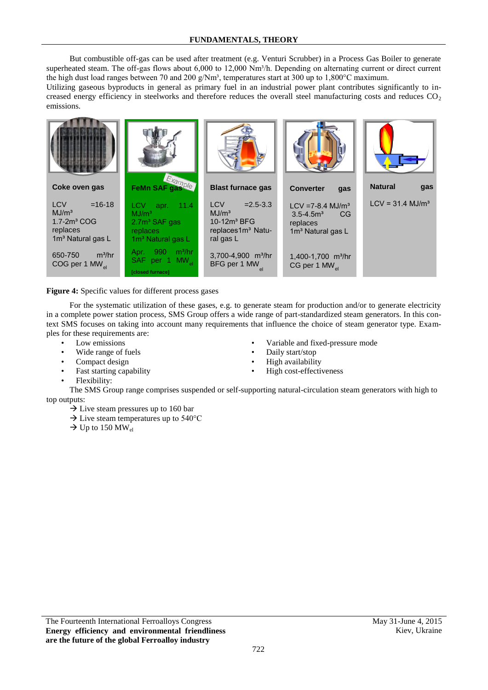But combustible off-gas can be used after treatment (e.g. Venturi Scrubber) in a Process Gas Boiler to generate superheated steam. The off-gas flows about 6,000 to 12,000  $Nm<sup>3</sup>/h$ . Depending on alternating current or direct current the high dust load ranges between 70 and 200 g/Nm³, temperatures start at 300 up to 1,800°C maximum.

Utilizing gaseous byproducts in general as primary fuel in an industrial power plant contributes significantly to increased energy efficiency in steelworks and therefore reduces the overall steel manufacturing costs and reduces  $CO<sub>2</sub>$ emissions.



Figure 4: Specific values for different process gases

For the systematic utilization of these gases, e.g. to generate steam for production and/or to generate electricity in a complete power station process, SMS Group offers a wide range of part-standardized steam generators. In this context SMS focuses on taking into account many requirements that influence the choice of steam generator type. Examples for these requirements are:

- Low emissions
- Wide range of fuels
- Compact design
- Fast starting capability
- Flexibility:
- The SMS Group range comprises suspended or self-supporting natural-circulation steam generators with high to top outputs:
	- $\rightarrow$  Live steam pressures up to 160 bar
	- $\rightarrow$  Live steam temperatures up to 540 °C
	- $\rightarrow$  Up to 150 MW<sub>el</sub>

The Fourteenth International Ferroalloys Congress May 31-June 4, 2015 **Energy efficiency and environmental friendliness are the future of the global Ferroalloy industry**

- Variable and fixed-pressure mode
- Daily start/stop  $3,30$
- High availability  $\mathbf{B}$ 
	- High cost-effectiveness